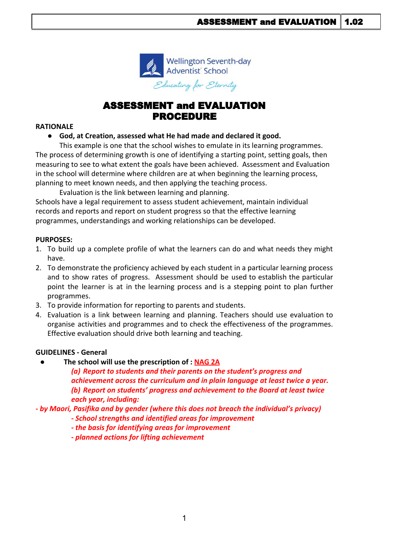

# ASSESSMENT and EVALUATION PROCEDURE

#### **RATIONALE**

● **God, at Creation, assessed what He had made and declared it good.**

This example is one that the school wishes to emulate in its learning programmes. The process of determining growth is one of identifying a starting point, setting goals, then measuring to see to what extent the goals have been achieved. Assessment and Evaluation in the school will determine where children are at when beginning the learning process, planning to meet known needs, and then applying the teaching process.

Evaluation is the link between learning and planning.

Schools have a legal requirement to assess student achievement, maintain individual records and reports and report on student progress so that the effective learning programmes, understandings and working relationships can be developed.

## **PURPOSES:**

- 1. To build up a complete profile of what the learners can do and what needs they might have.
- 2. To demonstrate the proficiency achieved by each student in a particular learning process and to show rates of progress. Assessment should be used to establish the particular point the learner is at in the learning process and is a stepping point to plan further programmes.
- 3. To provide information for reporting to parents and students.
- 4. Evaluation is a link between learning and planning. Teachers should use evaluation to organise activities and programmes and to check the effectiveness of the programmes. Effective evaluation should drive both learning and teaching.

### **GUIDELINES - General**

**● The school will use the prescription of : NAG 2A**

*(a) Report to students and their parents on the student's progress and achievement across the curriculum and in plain language at least twice a year. (b) Report on students' progress and achievement to the Board at least twice each year, including:*

*- by Maori, Pasifika and by gender (where this does not breach the individual's privacy)*

- *School strengths and identified areas for improvement*
- *the basis for identifying areas for improvement*
- *planned actions for lifting achievement*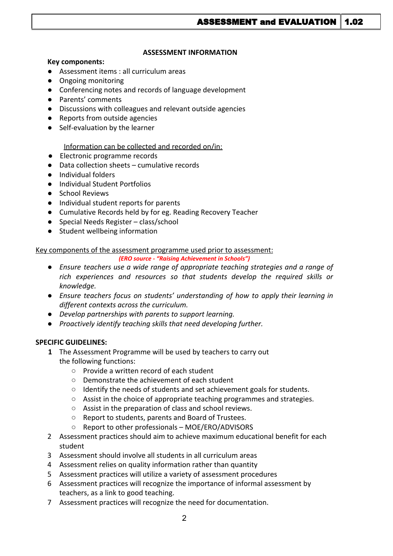#### **ASSESSMENT INFORMATION**

#### **Key components:**

- Assessment items : all curriculum areas
- Ongoing monitoring
- Conferencing notes and records of language development
- Parents' comments
- Discussions with colleagues and relevant outside agencies
- Reports from outside agencies
- Self-evaluation by the learner

## Information can be collected and recorded on/in:

- Electronic programme records
- Data collection sheets cumulative records
- Individual folders
- Individual Student Portfolios
- School Reviews
- Individual student reports for parents
- Cumulative Records held by for eg. Reading Recovery Teacher
- Special Needs Register class/school
- Student wellbeing information

### Key components of the assessment programme used prior to assessment:

*(ERO source - "Raising Achievement in Schools")*

- *● Ensure teachers use a wide range of appropriate teaching strategies and a range of rich experiences and resources so that students develop the required skills or knowledge.*
- *● Ensure teachers focus on students' understanding of how to apply their learning in different contexts across the curriculum.*
- *● Develop partnerships with parents to support learning.*
- *● Proactively identify teaching skills that need developing further.*

### **SPECIFIC GUIDELINES:**

- **1** The Assessment Programme will be used by teachers to carry out the following functions:
	- Provide a written record of each student
	- Demonstrate the achievement of each student
	- Identify the needs of students and set achievement goals for students.
	- Assist in the choice of appropriate teaching programmes and strategies.
	- Assist in the preparation of class and school reviews.
	- Report to students, parents and Board of Trustees.
	- Report to other professionals MOE/ERO/ADVISORS
- 2 Assessment practices should aim to achieve maximum educational benefit for each student
- 3 Assessment should involve all students in all curriculum areas
- 4 Assessment relies on quality information rather than quantity
- 5 Assessment practices will utilize a variety of assessment procedures
- 6 Assessment practices will recognize the importance of informal assessment by teachers, as a link to good teaching.
- 7 Assessment practices will recognize the need for documentation.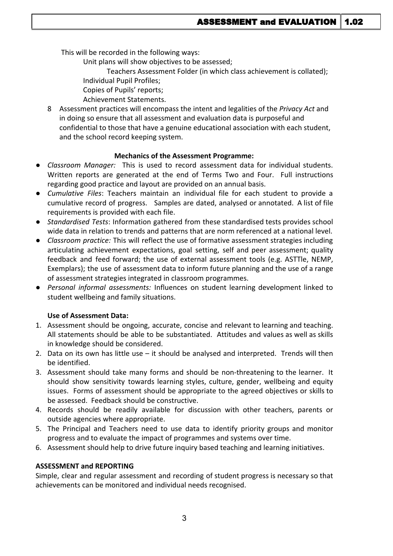This will be recorded in the following ways:

Unit plans will show objectives to be assessed;

Teachers Assessment Folder (in which class achievement is collated);

Individual Pupil Profiles;

Copies of Pupils' reports;

Achievement Statements.

8 Assessment practices will encompass the intent and legalities of the *Privacy Act* and in doing so ensure that all assessment and evaluation data is purposeful and confidential to those that have a genuine educational association with each student, and the school record keeping system.

# **Mechanics of the Assessment Programme:**

- *Classroom Manager:* This is used to record assessment data for individual students. Written reports are generated at the end of Terms Two and Four. Full instructions regarding good practice and layout are provided on an annual basis.
- *Cumulative Files*: Teachers maintain an individual file for each student to provide a cumulative record of progress. Samples are dated, analysed or annotated. A list of file requirements is provided with each file.
- *Standardised Tests*: Information gathered from these standardised tests provides school wide data in relation to trends and patterns that are norm referenced at a national level.
- *Classroom practice:* This will reflect the use of formative assessment strategies including articulating achievement expectations, goal setting, self and peer assessment; quality feedback and feed forward; the use of external assessment tools (e.g. ASTTle, NEMP, Exemplars); the use of assessment data to inform future planning and the use of a range of assessment strategies integrated in classroom programmes.
- *Personal informal assessments:* Influences on student learning development linked to student wellbeing and family situations.

# **Use of Assessment Data:**

- 1. Assessment should be ongoing, accurate, concise and relevant to learning and teaching. All statements should be able to be substantiated. Attitudes and values as well as skills in knowledge should be considered.
- 2. Data on its own has little use it should be analysed and interpreted. Trends will then be identified.
- 3. Assessment should take many forms and should be non-threatening to the learner. It should show sensitivity towards learning styles, culture, gender, wellbeing and equity issues. Forms of assessment should be appropriate to the agreed objectives or skills to be assessed. Feedback should be constructive.
- 4. Records should be readily available for discussion with other teachers, parents or outside agencies where appropriate.
- 5. The Principal and Teachers need to use data to identify priority groups and monitor progress and to evaluate the impact of programmes and systems over time.
- 6. Assessment should help to drive future inquiry based teaching and learning initiatives.

# **ASSESSMENT and REPORTING**

Simple, clear and regular assessment and recording of student progress is necessary so that achievements can be monitored and individual needs recognised.